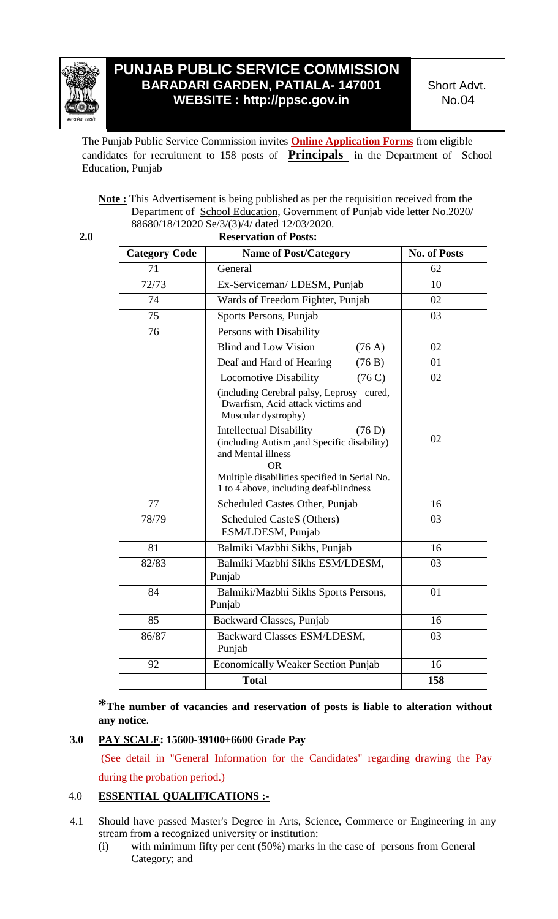

# **PUNJAB PUBLIC SERVICE COMMISSION BARADARI GARDEN, PATIALA- 147001 WEBSITE : http://ppsc.gov.in**

Short Advt. No.04

The Punjab Public Service Commission invites **Online Application Forms** from eligible candidates for recruitment to 158 posts of **Principals** in the Department of School Education, Punjab

**Note :** This Advertisement is being published as per the requisition received from the Department of School Education, Government of Punjab vide letter No.2020/ 88680/18/12020 Se/3/(3)/4/ dated 12/03/2020.

| 2.0                  | <b>Reservation of Posts:</b>                                                                                               |                     |  |
|----------------------|----------------------------------------------------------------------------------------------------------------------------|---------------------|--|
| <b>Category Code</b> | <b>Name of Post/Category</b>                                                                                               | <b>No. of Posts</b> |  |
| 71                   | General                                                                                                                    | 62                  |  |
| 72/73                | Ex-Serviceman/LDESM, Punjab                                                                                                | 10                  |  |
| 74                   | Wards of Freedom Fighter, Punjab                                                                                           | 02                  |  |
| 75                   | Sports Persons, Punjab                                                                                                     | 03                  |  |
| 76                   | Persons with Disability                                                                                                    |                     |  |
|                      | <b>Blind and Low Vision</b><br>(76 A)                                                                                      | 02                  |  |
|                      | Deaf and Hard of Hearing<br>(76 B)                                                                                         | 01                  |  |
|                      | <b>Locomotive Disability</b><br>(76C)                                                                                      | 02                  |  |
|                      | (including Cerebral palsy, Leprosy cured,<br>Dwarfism, Acid attack victims and<br>Muscular dystrophy)                      |                     |  |
|                      | <b>Intellectual Disability</b><br>(76 D)<br>(including Autism ,and Specific disability)<br>and Mental illness<br><b>OR</b> | 02                  |  |
|                      | Multiple disabilities specified in Serial No.<br>1 to 4 above, including deaf-blindness                                    |                     |  |
| 77                   | Scheduled Castes Other, Punjab                                                                                             | 16                  |  |
| 78/79                | <b>Scheduled CasteS (Others)</b><br>ESM/LDESM, Punjab                                                                      | 03                  |  |
| 81                   | Balmiki Mazbhi Sikhs, Punjab                                                                                               | 16                  |  |
| 82/83                | Balmiki Mazbhi Sikhs ESM/LDESM,<br>Punjab                                                                                  | 03                  |  |
| 84                   | Balmiki/Mazbhi Sikhs Sports Persons,<br>Punjab                                                                             | 01                  |  |
| 85                   | Backward Classes, Punjab                                                                                                   | 16                  |  |
| 86/87                | Backward Classes ESM/LDESM,<br>Punjab                                                                                      | 03                  |  |
| 92                   | <b>Economically Weaker Section Punjab</b>                                                                                  | 16                  |  |
|                      | <b>Total</b>                                                                                                               | 158                 |  |

**\*The number of vacancies and reservation of posts is liable to alteration without any notice**.

## **3.0 PAY SCALE: 15600-39100+6600 Grade Pay**

(See detail in "General Information for the Candidates" regarding drawing the Pay during the probation period.)

## 4.0 **ESSENTIAL QUALIFICATIONS :-**

- 4.1 Should have passed Master's Degree in Arts, Science, Commerce or Engineering in any stream from a recognized university or institution:
	- (i) with minimum fifty per cent (50%) marks in the case of persons from General Category; and